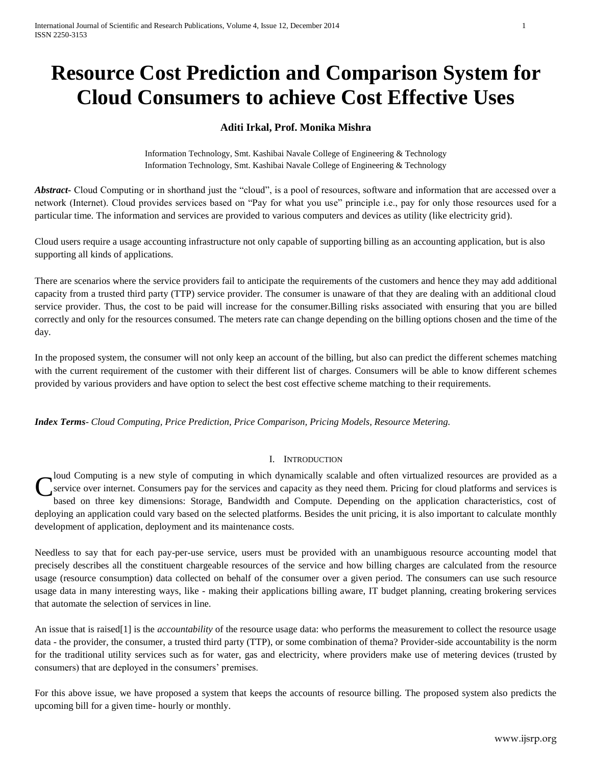# **Resource Cost Prediction and Comparison System for Cloud Consumers to achieve Cost Effective Uses**

# **Aditi Irkal, Prof. Monika Mishra**

Information Technology, Smt. Kashibai Navale College of Engineering & Technology Information Technology, Smt. Kashibai Navale College of Engineering & Technology

Abstract<sub>r</sub> Cloud Computing or in shorthand just the "cloud", is a pool of resources, software and information that are accessed over a network (Internet). Cloud provides services based on "Pay for what you use" principle i.e., pay for only those resources used for a particular time. The information and services are provided to various computers and devices as utility (like electricity grid).

Cloud users require a usage accounting infrastructure not only capable of supporting billing as an accounting application, but is also supporting all kinds of applications.

There are scenarios where the service providers fail to anticipate the requirements of the customers and hence they may add additional capacity from a trusted third party (TTP) service provider. The consumer is unaware of that they are dealing with an additional cloud service provider. Thus, the cost to be paid will increase for the consumer.Billing risks associated with ensuring that you are billed correctly and only for the resources consumed. The meters rate can change depending on the billing options chosen and the time of the day.

In the proposed system, the consumer will not only keep an account of the billing, but also can predict the different schemes matching with the current requirement of the customer with their different list of charges. Consumers will be able to know different schemes provided by various providers and have option to select the best cost effective scheme matching to their requirements.

*Index Terms*- *Cloud Computing, Price Prediction, Price Comparison, Pricing Models, Resource Metering.*

## I. INTRODUCTION

Joud Computing is a new style of computing in which dynamically scalable and often virtualized resources are provided as a service over internet. Consumers pay for the services and capacity as they need them. Pricing for cloud platforms and services is based on three key dimensions: Storage, Bandwidth and Compute. Depending on the application characteristics, cost of deploying an application could vary based on the selected platforms. Besides the unit pricing, it is also important to calculate monthly development of application, deployment and its maintenance costs. C

Needless to say that for each pay-per-use service, users must be provided with an unambiguous resource accounting model that precisely describes all the constituent chargeable resources of the service and how billing charges are calculated from the resource usage (resource consumption) data collected on behalf of the consumer over a given period. The consumers can use such resource usage data in many interesting ways, like - making their applications billing aware, IT budget planning, creating brokering services that automate the selection of services in line.

An issue that is raised[1] is the *accountability* of the resource usage data: who performs the measurement to collect the resource usage data - the provider, the consumer, a trusted third party (TTP), or some combination of thema? Provider-side accountability is the norm for the traditional utility services such as for water, gas and electricity, where providers make use of metering devices (trusted by consumers) that are deployed in the consumers' premises.

For this above issue, we have proposed a system that keeps the accounts of resource billing. The proposed system also predicts the upcoming bill for a given time- hourly or monthly.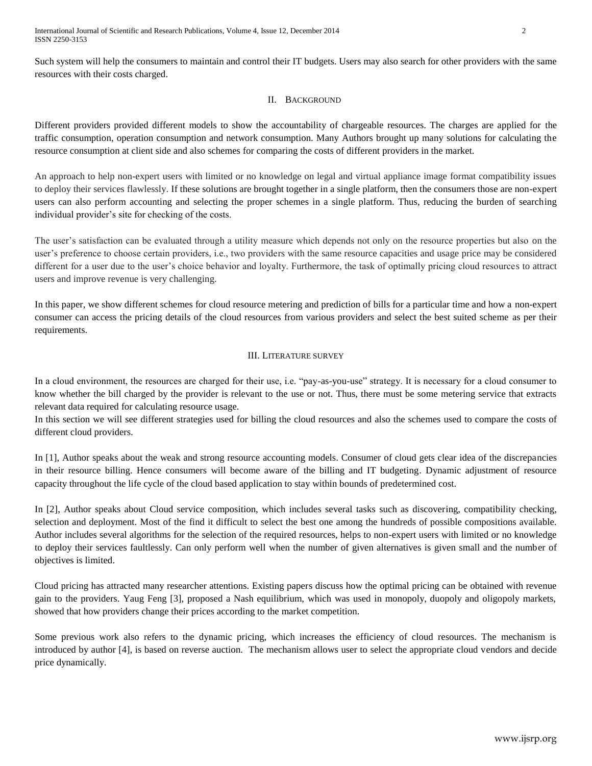Such system will help the consumers to maintain and control their IT budgets. Users may also search for other providers with the same resources with their costs charged.

## II. BACKGROUND

Different providers provided different models to show the accountability of chargeable resources. The charges are applied for the traffic consumption, operation consumption and network consumption. Many Authors brought up many solutions for calculating the resource consumption at client side and also schemes for comparing the costs of different providers in the market.

An approach to help non-expert users with limited or no knowledge on legal and virtual appliance image format compatibility issues to deploy their services flawlessly. If these solutions are brought together in a single platform, then the consumers those are non-expert users can also perform accounting and selecting the proper schemes in a single platform. Thus, reducing the burden of searching individual provider's site for checking of the costs.

The user's satisfaction can be evaluated through a utility measure which depends not only on the resource properties but also on the user's preference to choose certain providers, i.e., two providers with the same resource capacities and usage price may be considered different for a user due to the user's choice behavior and loyalty. Furthermore, the task of optimally pricing cloud resources to attract users and improve revenue is very challenging.

In this paper, we show different schemes for cloud resource metering and prediction of bills for a particular time and how a non-expert consumer can access the pricing details of the cloud resources from various providers and select the best suited scheme as per their requirements.

## III. LITERATURE SURVEY

In a cloud environment, the resources are charged for their use, i.e. "pay-as-you-use" strategy. It is necessary for a cloud consumer to know whether the bill charged by the provider is relevant to the use or not. Thus, there must be some metering service that extracts relevant data required for calculating resource usage.

In this section we will see different strategies used for billing the cloud resources and also the schemes used to compare the costs of different cloud providers.

In [1], Author speaks about the weak and strong resource accounting models. Consumer of cloud gets clear idea of the discrepancies in their resource billing. Hence consumers will become aware of the billing and IT budgeting. Dynamic adjustment of resource capacity throughout the life cycle of the cloud based application to stay within bounds of predetermined cost.

In [2], Author speaks about Cloud service composition, which includes several tasks such as discovering, compatibility checking, selection and deployment. Most of the find it difficult to select the best one among the hundreds of possible compositions available. Author includes several algorithms for the selection of the required resources, helps to non-expert users with limited or no knowledge to deploy their services faultlessly. Can only perform well when the number of given alternatives is given small and the number of objectives is limited.

Cloud pricing has attracted many researcher attentions. Existing papers discuss how the optimal pricing can be obtained with revenue gain to the providers. Yaug Feng [3], proposed a Nash equilibrium, which was used in monopoly, duopoly and oligopoly markets, showed that how providers change their prices according to the market competition.

Some previous work also refers to the dynamic pricing, which increases the efficiency of cloud resources. The mechanism is introduced by author [4], is based on reverse auction. The mechanism allows user to select the appropriate cloud vendors and decide price dynamically.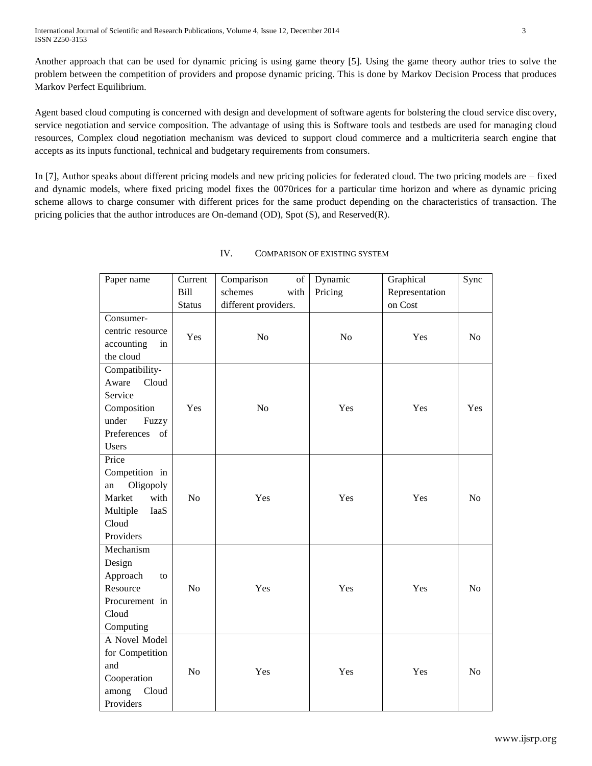Another approach that can be used for dynamic pricing is using game theory [5]. Using the game theory author tries to solve the problem between the competition of providers and propose dynamic pricing. This is done by Markov Decision Process that produces Markov Perfect Equilibrium.

Agent based cloud computing is concerned with design and development of software agents for bolstering the cloud service discovery, service negotiation and service composition. The advantage of using this is Software tools and testbeds are used for managing cloud resources, Complex cloud negotiation mechanism was deviced to support cloud commerce and a multicriteria search engine that accepts as its inputs functional, technical and budgetary requirements from consumers.

In [7], Author speaks about different pricing models and new pricing policies for federated cloud. The two pricing models are – fixed and dynamic models, where fixed pricing model fixes the 0070rices for a particular time horizon and where as dynamic pricing scheme allows to charge consumer with different prices for the same product depending on the characteristics of transaction. The pricing policies that the author introduces are On-demand (OD), Spot (S), and Reserved(R).

| Paper name       | Current        | Comparison<br>of     | Dynamic | Graphical      | Sync           |
|------------------|----------------|----------------------|---------|----------------|----------------|
|                  | <b>Bill</b>    | schemes<br>with      | Pricing | Representation |                |
|                  | <b>Status</b>  | different providers. |         | on Cost        |                |
| Consumer-        |                |                      |         |                |                |
| centric resource | Yes            | No                   | No      | Yes            | N <sub>o</sub> |
| accounting<br>in |                |                      |         |                |                |
| the cloud        |                |                      |         |                |                |
| Compatibility-   |                |                      |         |                |                |
| Aware<br>Cloud   |                |                      |         |                |                |
| Service          |                |                      |         |                |                |
| Composition      | Yes            | No                   | Yes     | Yes            | Yes            |
| under<br>Fuzzy   |                |                      |         |                |                |
| Preferences of   |                |                      |         |                |                |
| Users            |                |                      |         |                |                |
| Price            |                |                      |         |                |                |
| Competition in   |                |                      |         |                |                |
| Oligopoly<br>an  |                |                      |         |                |                |
| with<br>Market   | N <sub>o</sub> | Yes                  | Yes     | Yes            | N <sub>o</sub> |
| Multiple<br>IaaS |                |                      |         |                |                |
| Cloud            |                |                      |         |                |                |
| Providers        |                |                      |         |                |                |
| Mechanism        |                |                      |         |                |                |
| Design           |                |                      |         |                |                |
| Approach<br>to   |                |                      |         |                |                |
| Resource         | N <sub>o</sub> | Yes                  | Yes     | Yes            | No             |
| Procurement in   |                |                      |         |                |                |
| Cloud            |                |                      |         |                |                |
| Computing        |                |                      |         |                |                |
| A Novel Model    |                |                      |         |                |                |
| for Competition  |                |                      |         |                |                |
| and              | N <sub>o</sub> | Yes                  | Yes     | Yes            | N <sub>o</sub> |
| Cooperation      |                |                      |         |                |                |
| Cloud<br>among   |                |                      |         |                |                |
| Providers        |                |                      |         |                |                |

# IV. COMPARISON OF EXISTING SYSTEM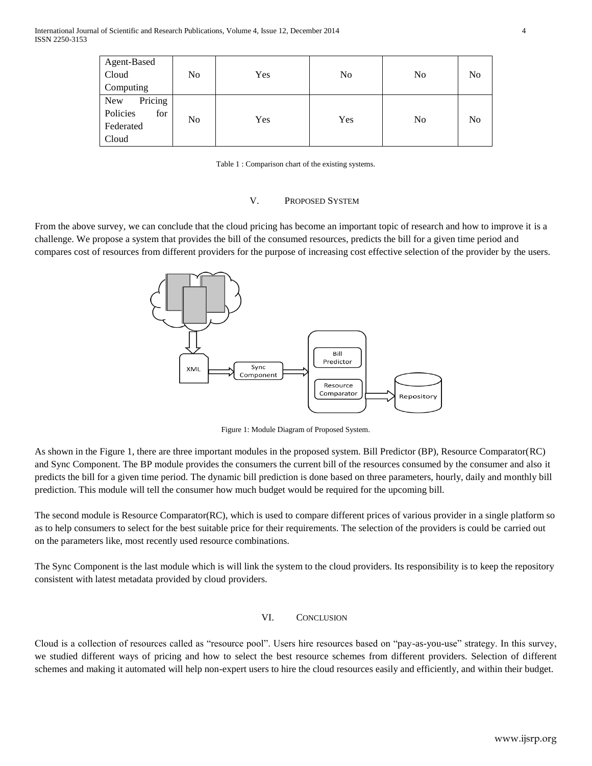| Agent-Based     |                |     |     |                |                |
|-----------------|----------------|-----|-----|----------------|----------------|
| Cloud           | No             | Yes | No  | N <sub>0</sub> | No             |
| Computing       |                |     |     |                |                |
| New<br>Pricing  | N <sub>0</sub> | Yes | Yes | N <sub>0</sub> | N <sub>o</sub> |
| Policies<br>for |                |     |     |                |                |
| Federated       |                |     |     |                |                |
| Cloud           |                |     |     |                |                |

Table 1 : Comparison chart of the existing systems.

#### V. PROPOSED SYSTEM

From the above survey, we can conclude that the cloud pricing has become an important topic of research and how to improve it is a challenge. We propose a system that provides the bill of the consumed resources, predicts the bill for a given time period and compares cost of resources from different providers for the purpose of increasing cost effective selection of the provider by the users.



Figure 1: Module Diagram of Proposed System.

As shown in the Figure 1, there are three important modules in the proposed system. Bill Predictor (BP), Resource Comparator(RC) and Sync Component. The BP module provides the consumers the current bill of the resources consumed by the consumer and also it predicts the bill for a given time period. The dynamic bill prediction is done based on three parameters, hourly, daily and monthly bill prediction. This module will tell the consumer how much budget would be required for the upcoming bill.

The second module is Resource Comparator(RC), which is used to compare different prices of various provider in a single platform so as to help consumers to select for the best suitable price for their requirements. The selection of the providers is could be carried out on the parameters like, most recently used resource combinations.

The Sync Component is the last module which is will link the system to the cloud providers. Its responsibility is to keep the repository consistent with latest metadata provided by cloud providers.

### VI. CONCLUSION

Cloud is a collection of resources called as "resource pool". Users hire resources based on "pay-as-you-use" strategy. In this survey, we studied different ways of pricing and how to select the best resource schemes from different providers. Selection of different schemes and making it automated will help non-expert users to hire the cloud resources easily and efficiently, and within their budget.